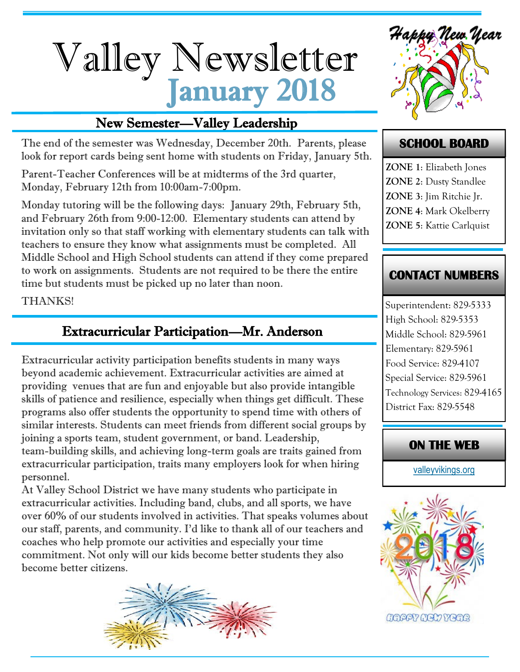# January 2018 Valley Newsletter

# New Semester—Valley Leadership

The end of the semester was Wednesday, December 20th. Parents, please look for report cards being sent home with students on Friday, January 5th.

Parent-Teacher Conferences will be at midterms of the 3rd quarter, Monday, February 12th from 10:00am-7:00pm.

Monday tutoring will be the following days: January 29th, February 5th, and February 26th from 9:00-12:00. Elementary students can attend by invitation only so that staff working with elementary students can talk with teachers to ensure they know what assignments must be completed. All Middle School and High School students can attend if they come prepared to work on assignments. Students are not required to be there the entire time but students must be picked up no later than noon.

THANKS!

# Extracurricular Participation—Mr. Anderson

Extracurricular activity participation benefits students in many ways beyond academic achievement. Extracurricular activities are aimed at providing venues that are fun and enjoyable but also provide intangible skills of patience and resilience, especially when things get difficult. These programs also offer students the opportunity to spend time with others of similar interests. Students can meet friends from different social groups by joining a sports team, student government, or band. Leadership, team-building skills, and achieving long-term goals are traits gained from extracurricular participation, traits many employers look for when hiring personnel.

At Valley School District we have many students who participate in extracurricular activities. Including band, clubs, and all sports, we have over 60% of our students involved in activities. That speaks volumes about our staff, parents, and community. I'd like to thank all of our teachers and coaches who help promote our activities and especially your time commitment. Not only will our kids become better students they also become better citizens.





#### **SCHOOL BOARD**

**ZONE 1**: Elizabeth Jones **ZONE 2**: Dusty Standlee **ZONE 3**: Jim Ritchie Jr. **ZONE 4**: Mark Okelberry **ZONE 5**: Kattie Carlquist

#### **CONTACT NUMBERS**

Superintendent: 829-5333 High School: 829-5353 Middle School: 829-5961 Elementary: 829-5961 Food Service: 829-4107 Special Service: 829-5961 Technology Services: 829-4165 District Fax: 829-5548

#### **ON THE WEB**

[valleyvikings.org](http://www.valleyvikings.org/)

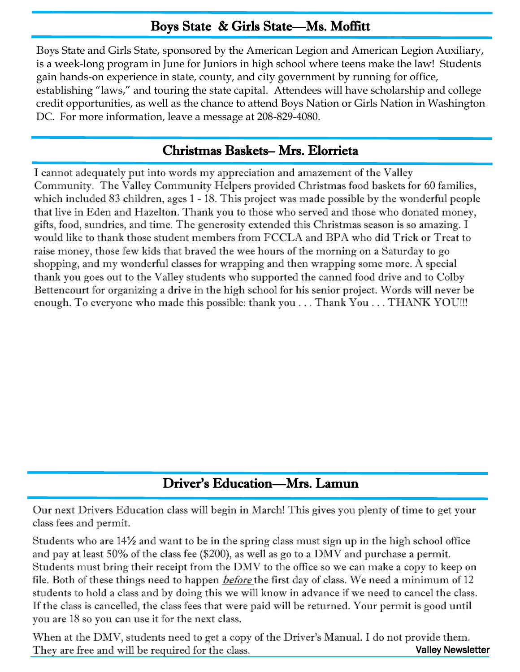# Boys State & Girls State—Ms. Moffitt

Boys State and Girls State, sponsored by the American Legion and American Legion Auxiliary, is a week-long program in June for Juniors in high school where teens make the law! Students gain hands-on experience in state, county, and city government by running for office, establishing "laws," and touring the state capital. Attendees will have scholarship and college credit opportunities, as well as the chance to attend Boys Nation or Girls Nation in Washington DC. For more information, leave a message at 208-829-4080.

#### Christmas Baskets– Mrs. Elorrieta

I cannot adequately put into words my appreciation and amazement of the Valley Community. The Valley Community Helpers provided Christmas food baskets for 60 families, which included 83 children, ages 1 - 18. This project was made possible by the wonderful people that live in Eden and Hazelton. Thank you to those who served and those who donated money, gifts, food, sundries, and time. The generosity extended this Christmas season is so amazing. I would like to thank those student members from FCCLA and BPA who did Trick or Treat to raise money, those few kids that braved the wee hours of the morning on a Saturday to go shopping, and my wonderful classes for wrapping and then wrapping some more. A special thank you goes out to the Valley students who supported the canned food drive and to Colby Bettencourt for organizing a drive in the high school for his senior project. Words will never be enough. To everyone who made this possible: thank you . . . Thank You . . . THANK YOU!!!

### Driver's Education—Mrs. Lamun

Our next Drivers Education class will begin in March! This gives you plenty of time to get your class fees and permit.

Students who are 14½ and want to be in the spring class must sign up in the high school office and pay at least 50% of the class fee (\$200), as well as go to a DMV and purchase a permit. Students must bring their receipt from the DMV to the office so we can make a copy to keep on file. Both of these things need to happen *before* the first day of class. We need a minimum of 12 students to hold a class and by doing this we will know in advance if we need to cancel the class. If the class is cancelled, the class fees that were paid will be returned. Your permit is good until you are 18 so you can use it for the next class.

Valley Newsletter When at the DMV, students need to get a copy of the Driver's Manual. I do not provide them. They are free and will be required for the class.